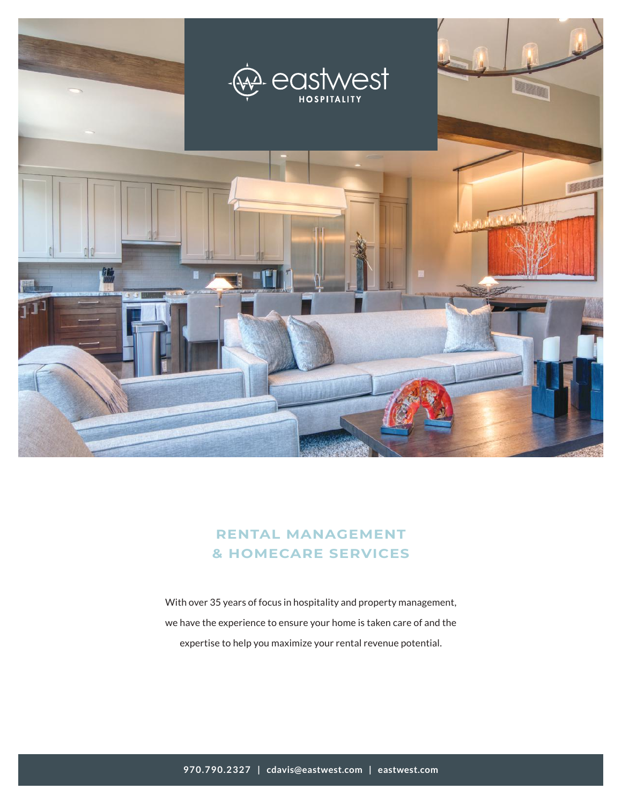

# **RENTAL MANAGEMENT & HOMECARE SERVICES**

With over 35 years of focus in hospitality and property management, we have the experience to ensure your home is taken care of and the expertise to help you maximize your rental revenue potential.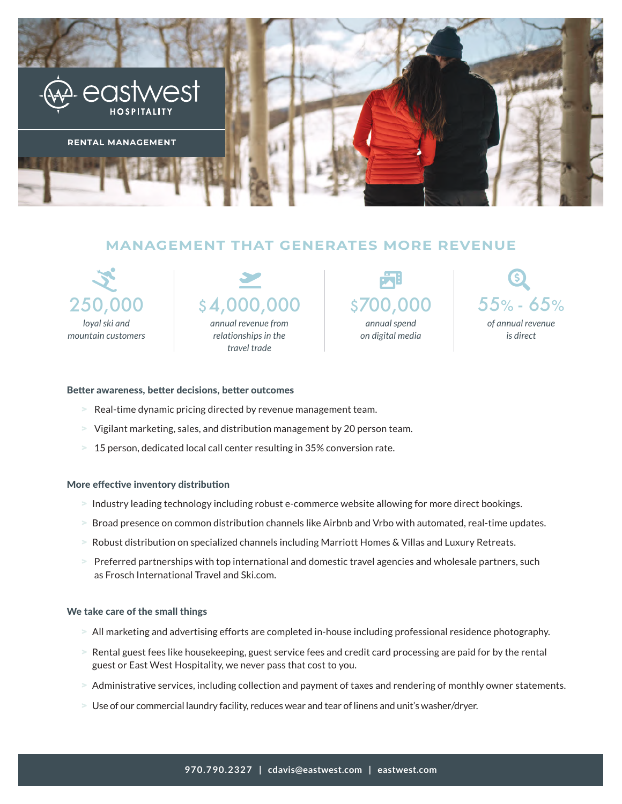

## **MANAGEMENT THAT GENERATES MORE REVENUE**





*relationships in the travel trade*

*annual spend* 

*on digital media*



#### Better awareness, better decisions, better outcomes

- **>** Real-time dynamic pricing directed by revenue management team.
- **>** Vigilant marketing, sales, and distribution management by 20 person team.
- **>** 15 person, dedicated local call center resulting in 35% conversion rate.

#### More effective inventory distribution

- **>** Industry leading technology including robust e-commerce website allowing for more direct bookings.
- **>** Broad presence on common distribution channels like Airbnb and Vrbo with automated, real-time updates.
- **>** Robust distribution on specialized channels including Marriott Homes & Villas and Luxury Retreats.
- **>** Preferred partnerships with top international and domestic travel agencies and wholesale partners, such as Frosch International Travel and Ski.com.

### We take care of the small things

- **>** All marketing and advertising efforts are completed in-house including professional residence photography.
- **>** Rental guest fees like housekeeping, guest service fees and credit card processing are paid for by the rental guest or East West Hospitality, we never pass that cost to you.
- **>** Administrative services, including collection and payment of taxes and rendering of monthly owner statements.
- **>** Use of our commercial laundry facility, reduces wear and tear of linens and unit's washer/dryer.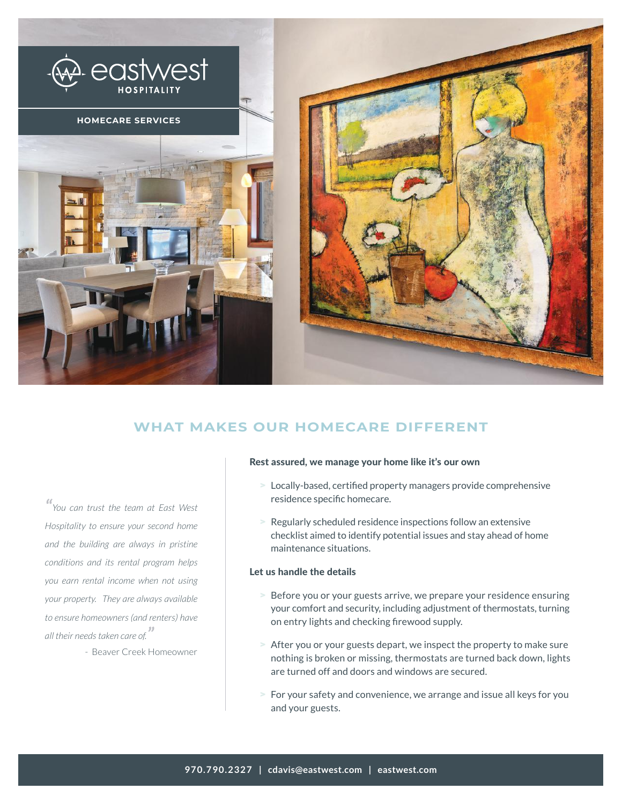

## **WHAT MAKES OUR HOMECARE DIFFERENT**

**"***You can trust the team at East West Hospitality to ensure your second home and the building are always in pristine conditions and its rental program helps you earn rental income when not using your property. They are always available to ensure homeowners (and renters) have all their needs taken care of.***"**

- Beaver Creek Homeowner

#### Rest assured, we manage your home like it's our own

- **>** Locally-based, certified property managers provide comprehensive residence specific homecare.
- **>** Regularly scheduled residence inspections follow an extensive checklist aimed to identify potential issues and stay ahead of home maintenance situations.

### Let us handle the details

- **>** Before you or your guests arrive, we prepare your residence ensuring your comfort and security, including adjustment of thermostats, turning on entry lights and checking firewood supply.
- **>** After you or your guests depart, we inspect the property to make sure nothing is broken or missing, thermostats are turned back down, lights are turned off and doors and windows are secured.
- **>** For your safety and convenience, we arrange and issue all keys for you and your guests.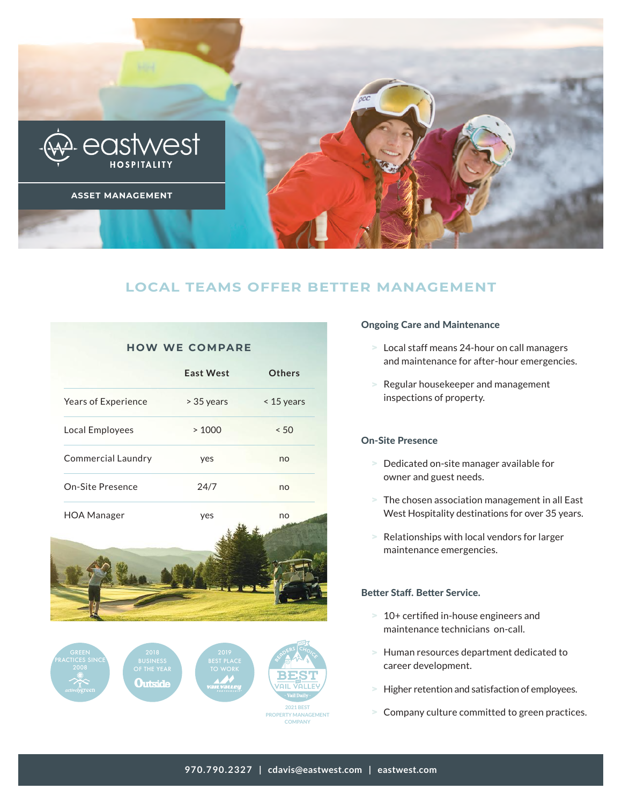

## **LOCAL TEAMS OFFER BETTER MANAGEMENT**

| <b>HOW WE COMPARE</b>     |                  |               |
|---------------------------|------------------|---------------|
|                           | <b>East West</b> | <b>Others</b> |
| Years of Experience       | > 35 years       | < 15 years    |
| Local Employees           | >1000            | < 50          |
| <b>Commercial Laundry</b> | yes              | no            |
| <b>On-Site Presence</b>   | 24/7             | no            |
| <b>HOA Manager</b>        | yes              | no            |
|                           |                  |               |
|                           | 2019             |               |

### Ongoing Care and Maintenance

- **>** Local staff means 24-hour on call managers and maintenance for after-hour emergencies.
- **>** Regular housekeeper and management inspections of property.

#### On-Site Presence

- **>** Dedicated on-site manager available for owner and guest needs.
- **>** The chosen association management in all East West Hospitality destinations for over 35 years.
- **>** Relationships with local vendors for larger maintenance emergencies.

### Better Staff. Better Service.

- **>** 10+ certified in-house engineers and maintenance technicians on-call.
- **>** Human resources department dedicated to career development.
- **>** Higher retention and satisfaction of employees.
- **>** Company culture committed to green practices.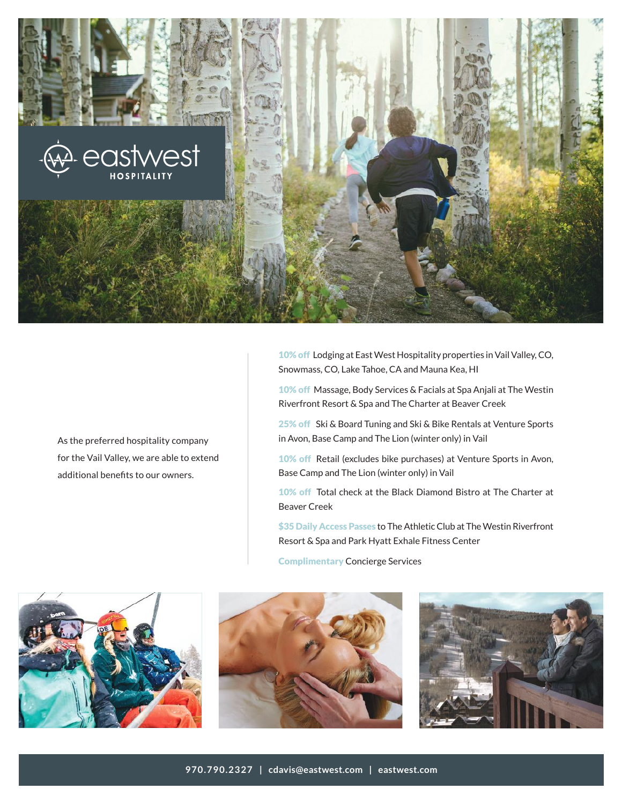

As the preferred hospitality company for the Vail Valley, we are able to extend additional benefits to our owners.

10% off Lodging at East West Hospitality properties in Vail Valley, CO, Snowmass, CO, Lake Tahoe, CA and Mauna Kea, HI

10% off Massage, Body Services & Facials at Spa Anjali at The Westin Riverfront Resort & Spa and The Charter at Beaver Creek

25% off Ski & Board Tuning and Ski & Bike Rentals at Venture Sports in Avon, Base Camp and The Lion (winter only) in Vail

10% off Retail (excludes bike purchases) at Venture Sports in Avon, Base Camp and The Lion (winter only) in Vail

10% off Total check at the Black Diamond Bistro at The Charter at Beaver Creek

\$35 Daily Access Passes to The Athletic Club at The Westin Riverfront Resort & Spa and Park Hyatt Exhale Fitness Center

Complimentary Concierge Services